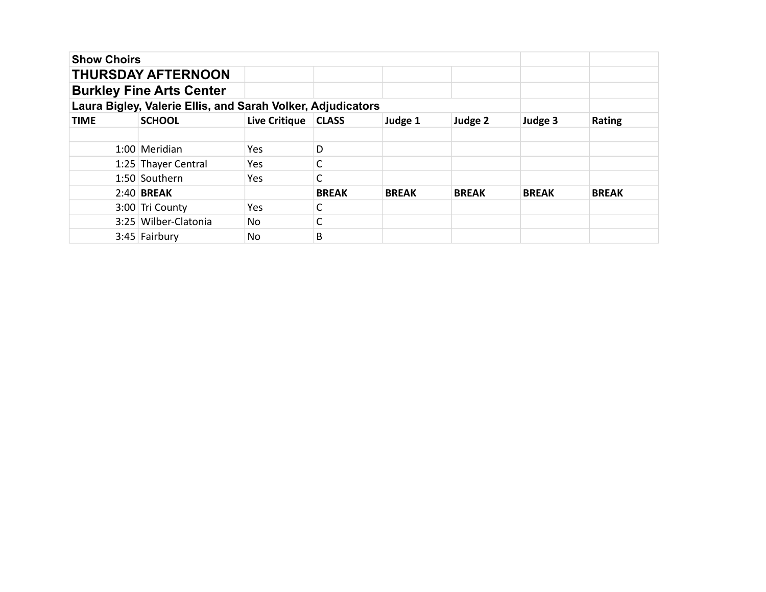| <b>Show Choirs</b> |                                                             |                      |              |              |              |              |               |
|--------------------|-------------------------------------------------------------|----------------------|--------------|--------------|--------------|--------------|---------------|
|                    | <b>THURSDAY AFTERNOON</b>                                   |                      |              |              |              |              |               |
|                    | <b>Burkley Fine Arts Center</b>                             |                      |              |              |              |              |               |
|                    | Laura Bigley, Valerie Ellis, and Sarah Volker, Adjudicators |                      |              |              |              |              |               |
| <b>TIME</b>        | <b>SCHOOL</b>                                               | <b>Live Critique</b> | <b>CLASS</b> | Judge 1      | Judge 2      | Judge 3      | <b>Rating</b> |
|                    |                                                             |                      |              |              |              |              |               |
|                    | 1:00 Meridian                                               | Yes.                 | D            |              |              |              |               |
|                    | 1:25 Thayer Central                                         | Yes                  |              |              |              |              |               |
|                    | 1:50 Southern                                               | Yes                  |              |              |              |              |               |
|                    | $2:40$ BREAK                                                |                      | <b>BREAK</b> | <b>BREAK</b> | <b>BREAK</b> | <b>BREAK</b> | <b>BREAK</b>  |
|                    | 3:00 Tri County                                             | Yes                  |              |              |              |              |               |
|                    | 3:25 Wilber-Clatonia                                        | No.                  |              |              |              |              |               |
|                    | $3:45$ Fairbury                                             | No.                  | B            |              |              |              |               |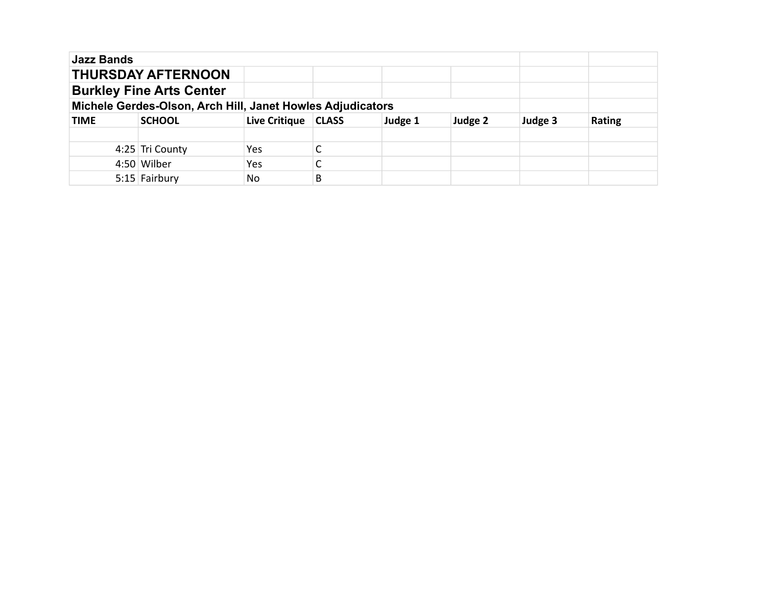| <b>Jazz Bands</b>                                          |                           |                      |              |         |         |         |               |
|------------------------------------------------------------|---------------------------|----------------------|--------------|---------|---------|---------|---------------|
|                                                            | <b>THURSDAY AFTERNOON</b> |                      |              |         |         |         |               |
| <b>Burkley Fine Arts Center</b>                            |                           |                      |              |         |         |         |               |
| Michele Gerdes-Olson, Arch Hill, Janet Howles Adjudicators |                           |                      |              |         |         |         |               |
| <b>TIME</b>                                                | <b>SCHOOL</b>             | <b>Live Critique</b> | <b>CLASS</b> | Judge 1 | Judge 2 | Judge 3 | <b>Rating</b> |
|                                                            |                           |                      |              |         |         |         |               |
|                                                            | 4:25 Tri County           | Yes.                 |              |         |         |         |               |
|                                                            | 4:50 Wilber               | Yes                  |              |         |         |         |               |
|                                                            | 5:15 Fairbury             | No.                  | B            |         |         |         |               |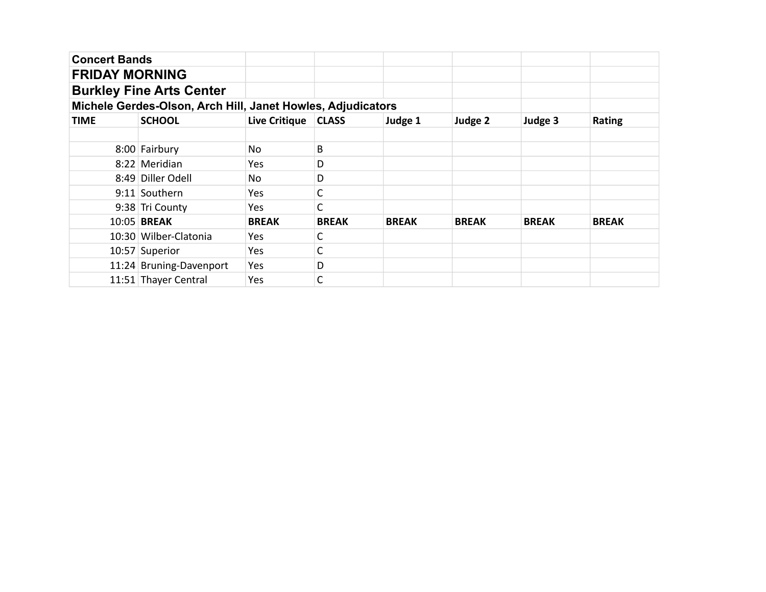| <b>Concert Bands</b>  |                                                             |                       |              |              |              |              |              |
|-----------------------|-------------------------------------------------------------|-----------------------|--------------|--------------|--------------|--------------|--------------|
| <b>FRIDAY MORNING</b> |                                                             |                       |              |              |              |              |              |
|                       | <b>Burkley Fine Arts Center</b>                             |                       |              |              |              |              |              |
|                       | Michele Gerdes-Olson, Arch Hill, Janet Howles, Adjudicators |                       |              |              |              |              |              |
| <b>TIME</b>           | <b>SCHOOL</b>                                               | Live Critique   CLASS |              | Judge 1      | Judge 2      | Judge 3      | Rating       |
|                       |                                                             |                       |              |              |              |              |              |
|                       | 8:00 Fairbury                                               | No                    | В            |              |              |              |              |
|                       | 8:22 Meridian                                               | Yes.                  | D            |              |              |              |              |
|                       | 8:49 Diller Odell                                           | No                    | D            |              |              |              |              |
|                       | 9:11 Southern                                               | Yes                   | С            |              |              |              |              |
|                       | 9:38 Tri County                                             | Yes.                  | C            |              |              |              |              |
|                       | 10:05 BREAK                                                 | <b>BREAK</b>          | <b>BREAK</b> | <b>BREAK</b> | <b>BREAK</b> | <b>BREAK</b> | <b>BREAK</b> |
|                       | 10:30 Wilber-Clatonia                                       | Yes.                  | С            |              |              |              |              |
|                       | 10:57 Superior                                              | Yes                   | С            |              |              |              |              |
|                       | 11:24 Bruning-Davenport                                     | Yes                   | D            |              |              |              |              |
|                       | 11:51 Thayer Central                                        | Yes                   | С            |              |              |              |              |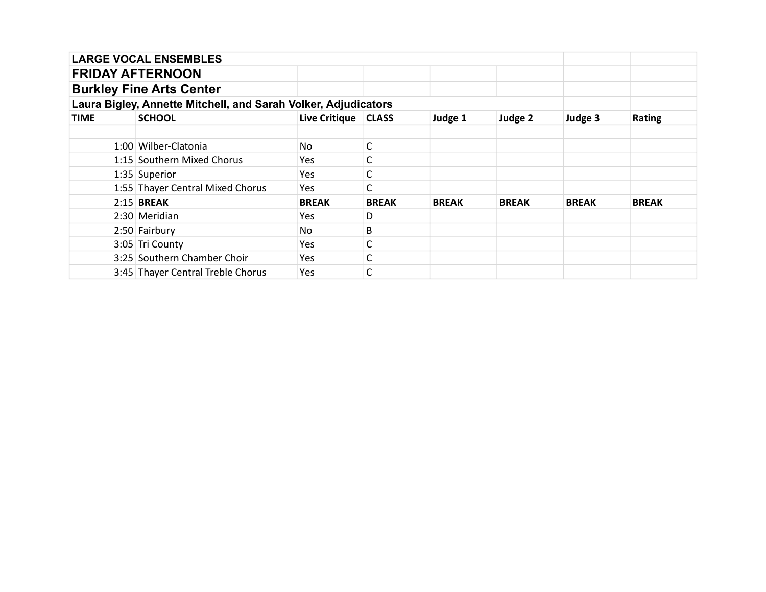|             | <b>LARGE VOCAL ENSEMBLES</b>                                   |                       |              |              |              |              |              |
|-------------|----------------------------------------------------------------|-----------------------|--------------|--------------|--------------|--------------|--------------|
|             | <b>FRIDAY AFTERNOON</b>                                        |                       |              |              |              |              |              |
|             | <b>Burkley Fine Arts Center</b>                                |                       |              |              |              |              |              |
|             | Laura Bigley, Annette Mitchell, and Sarah Volker, Adjudicators |                       |              |              |              |              |              |
| <b>TIME</b> | <b>SCHOOL</b>                                                  | Live Critique   CLASS |              | Judge 1      | Judge 2      | Judge 3      | Rating       |
|             |                                                                |                       |              |              |              |              |              |
|             | 1:00 Wilber-Clatonia                                           | No                    | С            |              |              |              |              |
|             | 1:15 Southern Mixed Chorus                                     | <b>Yes</b>            |              |              |              |              |              |
|             | 1:35 Superior                                                  | Yes                   |              |              |              |              |              |
|             | 1:55 Thayer Central Mixed Chorus                               | Yes                   |              |              |              |              |              |
|             | $2:15$ BREAK                                                   | <b>BREAK</b>          | <b>BREAK</b> | <b>BREAK</b> | <b>BREAK</b> | <b>BREAK</b> | <b>BREAK</b> |
|             | 2:30 Meridian                                                  | Yes                   | D            |              |              |              |              |
|             | 2:50 Fairbury                                                  | No                    | B            |              |              |              |              |
|             | 3:05 Tri County                                                | Yes                   | С            |              |              |              |              |
|             | 3:25 Southern Chamber Choir                                    | Yes                   |              |              |              |              |              |
|             | 3:45 Thayer Central Treble Chorus                              | <b>Yes</b>            |              |              |              |              |              |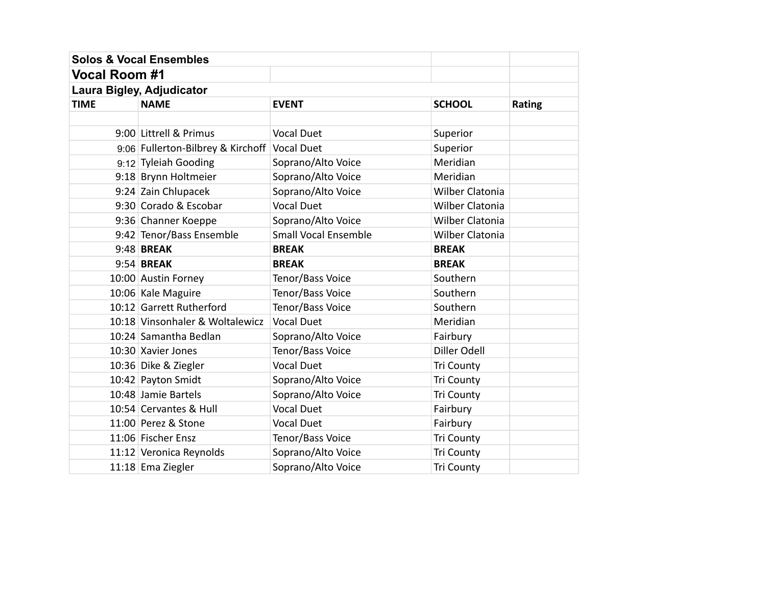|                      | <b>Solos &amp; Vocal Ensembles</b>           |                             |                        |               |
|----------------------|----------------------------------------------|-----------------------------|------------------------|---------------|
| <b>Vocal Room #1</b> |                                              |                             |                        |               |
|                      | Laura Bigley, Adjudicator                    |                             |                        |               |
| <b>TIME</b>          | <b>NAME</b>                                  | <b>EVENT</b>                | <b>SCHOOL</b>          | <b>Rating</b> |
|                      |                                              |                             |                        |               |
|                      | 9:00 Littrell & Primus                       | <b>Vocal Duet</b>           | Superior               |               |
|                      | 9:06 Fullerton-Bilbrey & Kirchoff Vocal Duet |                             | Superior               |               |
|                      | 9:12 Tyleiah Gooding                         | Soprano/Alto Voice          | Meridian               |               |
|                      | 9:18 Brynn Holtmeier                         | Soprano/Alto Voice          | Meridian               |               |
|                      | 9:24 Zain Chlupacek                          | Soprano/Alto Voice          | <b>Wilber Clatonia</b> |               |
|                      | 9:30 Corado & Escobar                        | <b>Vocal Duet</b>           | Wilber Clatonia        |               |
|                      | 9:36 Channer Koeppe                          | Soprano/Alto Voice          | <b>Wilber Clatonia</b> |               |
|                      | 9:42 Tenor/Bass Ensemble                     | <b>Small Vocal Ensemble</b> | <b>Wilber Clatonia</b> |               |
|                      | 9:48 BREAK                                   | <b>BREAK</b>                | <b>BREAK</b>           |               |
|                      | 9:54 BREAK                                   | <b>BREAK</b>                | <b>BREAK</b>           |               |
|                      | 10:00 Austin Forney                          | Tenor/Bass Voice            | Southern               |               |
|                      | 10:06 Kale Maguire                           | Tenor/Bass Voice            | Southern               |               |
|                      | 10:12 Garrett Rutherford                     | Tenor/Bass Voice            | Southern               |               |
|                      | 10:18 Vinsonhaler & Woltalewicz              | <b>Vocal Duet</b>           | Meridian               |               |
|                      | 10:24 Samantha Bedlan                        | Soprano/Alto Voice          | Fairbury               |               |
|                      | 10:30 Xavier Jones                           | Tenor/Bass Voice            | Diller Odell           |               |
|                      | 10:36 Dike & Ziegler                         | <b>Vocal Duet</b>           | Tri County             |               |
|                      | 10:42 Payton Smidt                           | Soprano/Alto Voice          | Tri County             |               |
|                      | 10:48 Jamie Bartels                          | Soprano/Alto Voice          | Tri County             |               |
|                      | 10:54 Cervantes & Hull                       | <b>Vocal Duet</b>           | Fairbury               |               |
|                      | 11:00 Perez & Stone                          | <b>Vocal Duet</b>           | Fairbury               |               |
|                      | 11:06 Fischer Ensz                           | Tenor/Bass Voice            | Tri County             |               |
|                      | 11:12 Veronica Reynolds                      | Soprano/Alto Voice          | <b>Tri County</b>      |               |
|                      | 11:18 Ema Ziegler                            | Soprano/Alto Voice          | <b>Tri County</b>      |               |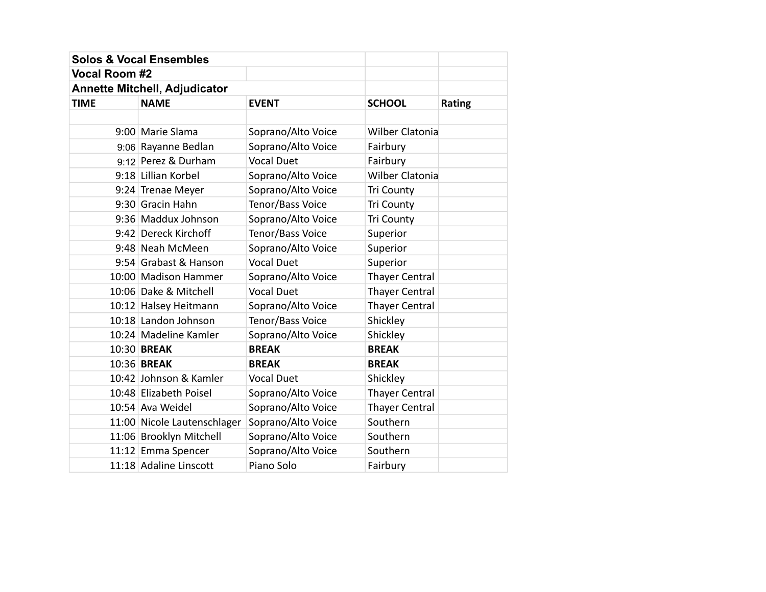|                      | <b>Solos &amp; Vocal Ensembles</b>   |                    |                        |               |
|----------------------|--------------------------------------|--------------------|------------------------|---------------|
| <b>Vocal Room #2</b> |                                      |                    |                        |               |
|                      | <b>Annette Mitchell, Adjudicator</b> |                    |                        |               |
| <b>TIME</b>          | <b>NAME</b>                          | <b>EVENT</b>       | <b>SCHOOL</b>          | <b>Rating</b> |
|                      |                                      |                    |                        |               |
|                      | 9:00 Marie Slama                     | Soprano/Alto Voice | <b>Wilber Clatonia</b> |               |
|                      | 9:06 Rayanne Bedlan                  | Soprano/Alto Voice | Fairbury               |               |
|                      | $9:12$ Perez & Durham                | <b>Vocal Duet</b>  | Fairbury               |               |
|                      | 9:18 Lillian Korbel                  | Soprano/Alto Voice | <b>Wilber Clatonia</b> |               |
|                      | 9:24 Trenae Meyer                    | Soprano/Alto Voice | Tri County             |               |
|                      | 9:30 Gracin Hahn                     | Tenor/Bass Voice   | <b>Tri County</b>      |               |
|                      | 9:36 Maddux Johnson                  | Soprano/Alto Voice | <b>Tri County</b>      |               |
|                      | 9:42 Dereck Kirchoff                 | Tenor/Bass Voice   | Superior               |               |
|                      | 9:48 Neah McMeen                     | Soprano/Alto Voice | Superior               |               |
|                      | 9:54 Grabast & Hanson                | <b>Vocal Duet</b>  | Superior               |               |
|                      | 10:00 Madison Hammer                 | Soprano/Alto Voice | <b>Thayer Central</b>  |               |
|                      | 10:06 Dake & Mitchell                | <b>Vocal Duet</b>  | <b>Thayer Central</b>  |               |
|                      | 10:12 Halsey Heitmann                | Soprano/Alto Voice | <b>Thayer Central</b>  |               |
|                      | 10:18 Landon Johnson                 | Tenor/Bass Voice   | Shickley               |               |
|                      | 10:24 Madeline Kamler                | Soprano/Alto Voice | Shickley               |               |
|                      | 10:30 BREAK                          | <b>BREAK</b>       | <b>BREAK</b>           |               |
|                      | 10:36 BREAK                          | <b>BREAK</b>       | <b>BREAK</b>           |               |
|                      | 10:42 Johnson & Kamler               | <b>Vocal Duet</b>  | Shickley               |               |
|                      | 10:48 Elizabeth Poisel               | Soprano/Alto Voice | <b>Thayer Central</b>  |               |
|                      | 10:54 Ava Weidel                     | Soprano/Alto Voice | <b>Thayer Central</b>  |               |
|                      | 11:00 Nicole Lautenschlager          | Soprano/Alto Voice | Southern               |               |
|                      | 11:06 Brooklyn Mitchell              | Soprano/Alto Voice | Southern               |               |
|                      | 11:12 Emma Spencer                   | Soprano/Alto Voice | Southern               |               |
|                      | 11:18 Adaline Linscott               | Piano Solo         | Fairbury               |               |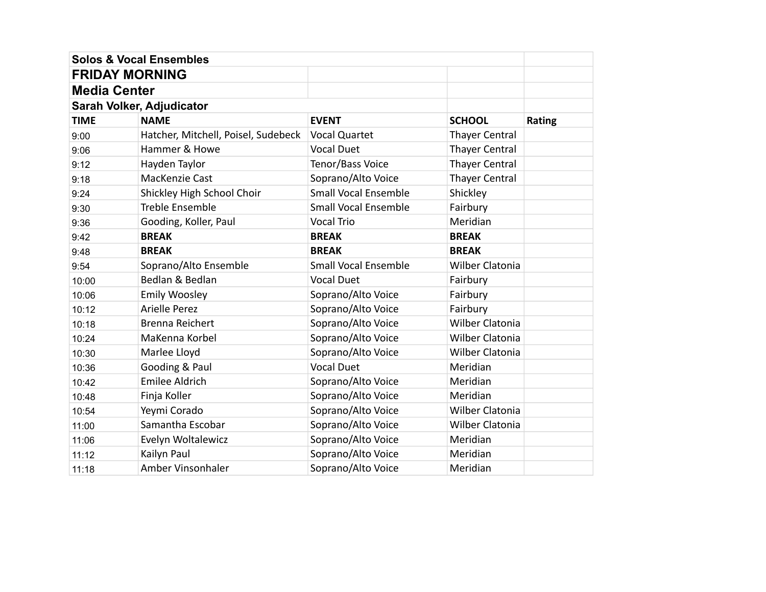|                       | <b>Solos &amp; Vocal Ensembles</b>  |                             |                        |        |
|-----------------------|-------------------------------------|-----------------------------|------------------------|--------|
| <b>FRIDAY MORNING</b> |                                     |                             |                        |        |
| <b>Media Center</b>   |                                     |                             |                        |        |
|                       | Sarah Volker, Adjudicator           |                             |                        |        |
| <b>TIME</b>           | <b>NAME</b>                         | <b>EVENT</b>                | <b>SCHOOL</b>          | Rating |
| 9:00                  | Hatcher, Mitchell, Poisel, Sudebeck | <b>Vocal Quartet</b>        | <b>Thayer Central</b>  |        |
| 9:06                  | Hammer & Howe                       | <b>Vocal Duet</b>           | <b>Thayer Central</b>  |        |
| 9:12                  | Hayden Taylor                       | Tenor/Bass Voice            | <b>Thayer Central</b>  |        |
| 9:18                  | MacKenzie Cast                      | Soprano/Alto Voice          | <b>Thayer Central</b>  |        |
| 9:24                  | Shickley High School Choir          | <b>Small Vocal Ensemble</b> | Shickley               |        |
| 9:30                  | <b>Treble Ensemble</b>              | <b>Small Vocal Ensemble</b> | Fairbury               |        |
| 9:36                  | Gooding, Koller, Paul               | <b>Vocal Trio</b>           | Meridian               |        |
| 9:42                  | <b>BREAK</b>                        | <b>BREAK</b>                | <b>BREAK</b>           |        |
| 9:48                  | <b>BREAK</b>                        | <b>BREAK</b>                | <b>BREAK</b>           |        |
| 9:54                  | Soprano/Alto Ensemble               | <b>Small Vocal Ensemble</b> | <b>Wilber Clatonia</b> |        |
| 10:00                 | Bedlan & Bedlan                     | <b>Vocal Duet</b>           | Fairbury               |        |
| 10:06                 | Emily Woosley                       | Soprano/Alto Voice          | Fairbury               |        |
| 10:12                 | <b>Arielle Perez</b>                | Soprano/Alto Voice          | Fairbury               |        |
| 10:18                 | Brenna Reichert                     | Soprano/Alto Voice          | <b>Wilber Clatonia</b> |        |
| 10:24                 | MaKenna Korbel                      | Soprano/Alto Voice          | <b>Wilber Clatonia</b> |        |
| 10:30                 | Marlee Lloyd                        | Soprano/Alto Voice          | <b>Wilber Clatonia</b> |        |
| 10:36                 | Gooding & Paul                      | <b>Vocal Duet</b>           | Meridian               |        |
| 10:42                 | Emilee Aldrich                      | Soprano/Alto Voice          | Meridian               |        |
| 10:48                 | Finja Koller                        | Soprano/Alto Voice          | Meridian               |        |
| 10:54                 | Yeymi Corado                        | Soprano/Alto Voice          | Wilber Clatonia        |        |
| 11:00                 | Samantha Escobar                    | Soprano/Alto Voice          | Wilber Clatonia        |        |
| 11:06                 | Evelyn Woltalewicz                  | Soprano/Alto Voice          | Meridian               |        |
| 11:12                 | Kailyn Paul                         | Soprano/Alto Voice          | Meridian               |        |
| 11:18                 | Amber Vinsonhaler                   | Soprano/Alto Voice          | Meridian               |        |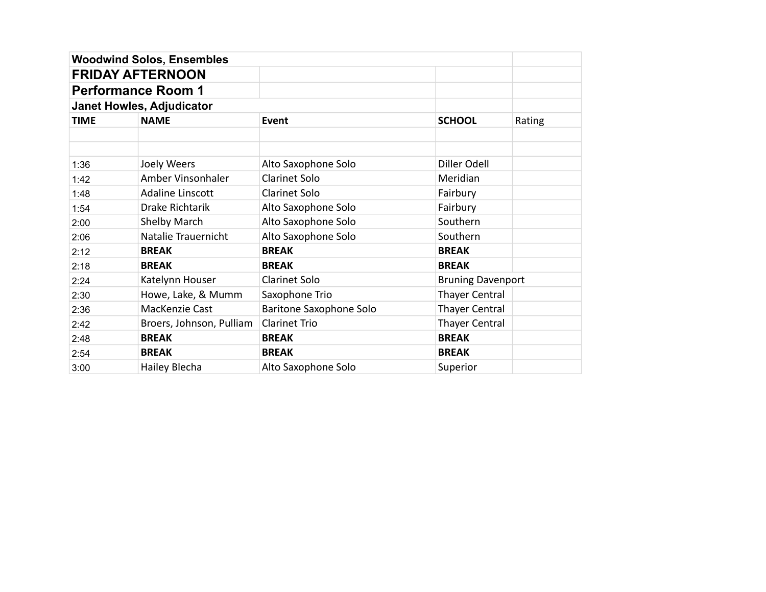|             | <b>Woodwind Solos, Ensembles</b> |                         |                          |        |
|-------------|----------------------------------|-------------------------|--------------------------|--------|
|             | <b>FRIDAY AFTERNOON</b>          |                         |                          |        |
|             | <b>Performance Room 1</b>        |                         |                          |        |
|             | <b>Janet Howles, Adjudicator</b> |                         |                          |        |
| <b>TIME</b> | <b>NAME</b>                      | <b>Event</b>            | <b>SCHOOL</b>            | Rating |
|             |                                  |                         |                          |        |
|             |                                  |                         |                          |        |
| 1:36        | Joely Weers                      | Alto Saxophone Solo     | Diller Odell             |        |
| 1:42        | Amber Vinsonhaler                | <b>Clarinet Solo</b>    | Meridian                 |        |
| 1:48        | Adaline Linscott                 | <b>Clarinet Solo</b>    | Fairbury                 |        |
| 1:54        | Drake Richtarik                  | Alto Saxophone Solo     | Fairbury                 |        |
| 2:00        | Shelby March                     | Alto Saxophone Solo     | Southern                 |        |
| 2:06        | Natalie Trauernicht              | Alto Saxophone Solo     | Southern                 |        |
| 2:12        | <b>BREAK</b>                     | <b>BREAK</b>            | <b>BREAK</b>             |        |
| 2:18        | <b>BREAK</b>                     | <b>BREAK</b>            | <b>BREAK</b>             |        |
| 2:24        | Katelynn Houser                  | <b>Clarinet Solo</b>    | <b>Bruning Davenport</b> |        |
| 2:30        | Howe, Lake, & Mumm               | Saxophone Trio          | <b>Thayer Central</b>    |        |
| 2:36        | MacKenzie Cast                   | Baritone Saxophone Solo | Thayer Central           |        |
| 2:42        | Broers, Johnson, Pulliam         | <b>Clarinet Trio</b>    | <b>Thayer Central</b>    |        |
| 2:48        | <b>BREAK</b>                     | <b>BREAK</b>            | <b>BREAK</b>             |        |
| 2:54        | <b>BREAK</b>                     | <b>BREAK</b>            | <b>BREAK</b>             |        |
| 3:00        | Hailey Blecha                    | Alto Saxophone Solo     | Superior                 |        |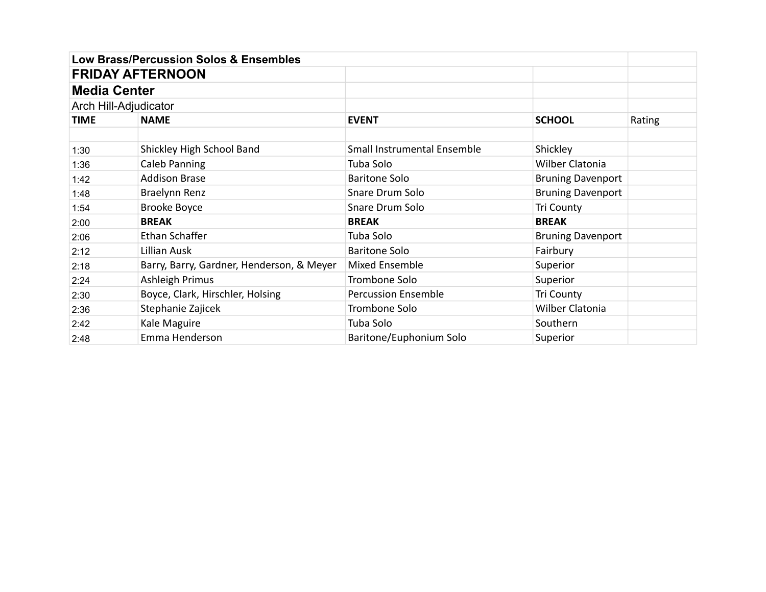|                     | <b>Low Brass/Percussion Solos &amp; Ensembles</b> |                                    |                          |        |
|---------------------|---------------------------------------------------|------------------------------------|--------------------------|--------|
|                     | <b>FRIDAY AFTERNOON</b>                           |                                    |                          |        |
| <b>Media Center</b> |                                                   |                                    |                          |        |
|                     | Arch Hill-Adjudicator                             |                                    |                          |        |
| <b>TIME</b>         | <b>NAME</b>                                       | <b>EVENT</b>                       | <b>SCHOOL</b>            | Rating |
|                     |                                                   |                                    |                          |        |
| 1:30                | Shickley High School Band                         | <b>Small Instrumental Ensemble</b> | Shickley                 |        |
| 1:36                | Caleb Panning                                     | Tuba Solo                          | Wilber Clatonia          |        |
| 1:42                | <b>Addison Brase</b>                              | <b>Baritone Solo</b>               | <b>Bruning Davenport</b> |        |
| 1:48                | Braelynn Renz                                     | Snare Drum Solo                    | <b>Bruning Davenport</b> |        |
| 1:54                | <b>Brooke Boyce</b>                               | Snare Drum Solo                    | Tri County               |        |
| 2:00                | <b>BREAK</b>                                      | <b>BREAK</b>                       | <b>BREAK</b>             |        |
| 2:06                | Ethan Schaffer                                    | Tuba Solo                          | <b>Bruning Davenport</b> |        |
| 2:12                | Lillian Ausk                                      | <b>Baritone Solo</b>               | Fairbury                 |        |
| 2:18                | Barry, Barry, Gardner, Henderson, & Meyer         | Mixed Ensemble                     | Superior                 |        |
| 2:24                | Ashleigh Primus                                   | Trombone Solo                      | Superior                 |        |
| 2:30                | Boyce, Clark, Hirschler, Holsing                  | <b>Percussion Ensemble</b>         | Tri County               |        |
| 2:36                | Stephanie Zajicek                                 | Trombone Solo                      | Wilber Clatonia          |        |
| 2:42                | Kale Maguire                                      | Tuba Solo                          | Southern                 |        |
| 2:48                | Emma Henderson                                    | Baritone/Euphonium Solo            | Superior                 |        |